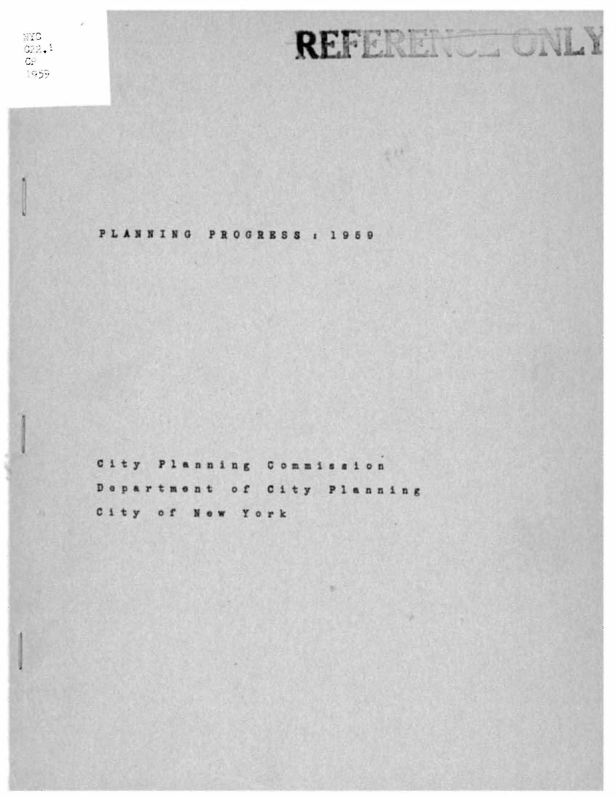NIC  $G22.1$  $\mathbb{C}\mathbb{M}$  $1959$ 

•

PLANNING PROGRESS : 1959

REFERENCE

 $\frac{1}{2}$ 

City **Planning** Commission Department of City Planning City of New York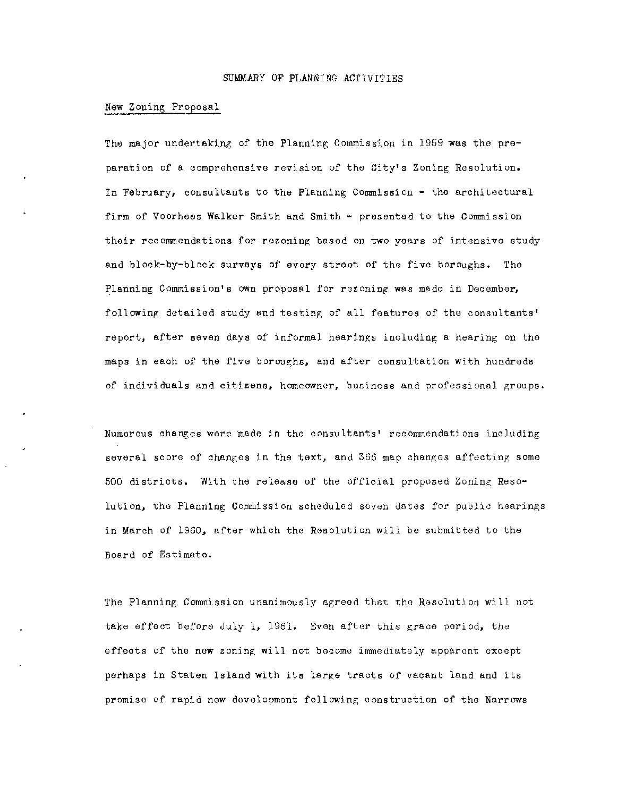#### SUMMARY OF PLANNING ACTIVITIES

### New Zoning Proposal

The major undertaking of the Planning Commission in 1959 was the preparation of a comprehensive revision of the City's Zoning Resolution. In February, consultants to the Planning Commission - the architectural firm of Voorhees Walker Smith and Smith - presented to the Commission their recommendations for rezoning based on two years of intensive study and block-by-block surveys of every street of tho five boroughs. The Planning Commission's own proposal for rezoning was made in Docember, following detailed study and testing of all features of the consultants' report, after seven days of informal hearings including a hearing on tho maps in each of the five boroughs, and after consultation with hundreds of individuals and citizens, homeowner, business and professional groups.

Numerous changes wore made in the consultants' rocommendations including several score of changes in the text, and 366 map changes affecting some 500 districts. With the release of the official proposed Zoning Resolution, the Planning Commission scheduled seven dates for public hearings in March of 1960, after which the Resolution will be submitted to the Board of Estimate.

The Planning Commission unanimously agreed that the Resolution will not take effect before July 1, 1961. Even after this grace period, the effects of the new zoning will not become immediately apparent except perhaps in Staten Island with its large tracts of vacant land and its promise of rapid new development following construction of the Narrows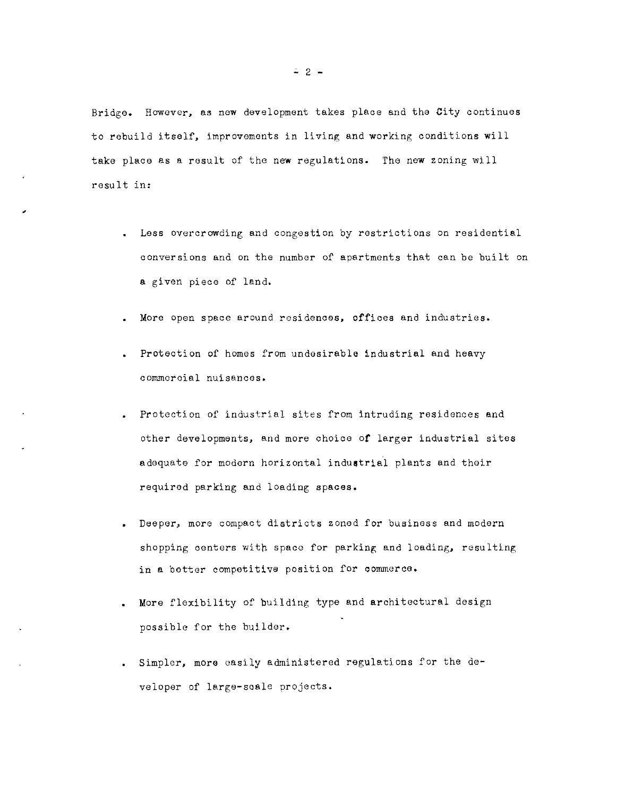Bridge. However, as now development takes place and the City continues to rebuild itself, improvements in living and working conditions will take place as a result of the new regulations. The new zoning will result in:

- Less overcrowding and congestion by restrictions on residential conversions and on the number of apartments that can be built on a given piece of land.
- More open space around residences, offioes and industries.
- Protection of homes from undesirable industrial and heavy **commeroial nuisances.**
- Protection of industrial sites from intruding residences and other developments, and more choioo of larger industrial sites adequate for modern horizontal industrial plants and thoir required parking and loading spaces.
- Deeper, more compact districts zoned for business and modern shopping centers with space for parking and loading, resulting in a botter competitive position for oommerce.
- More flexibility of building type and architectural dosign possible for the builder.
- Simpler, more easily administered regulations for the developer of large-seale projects.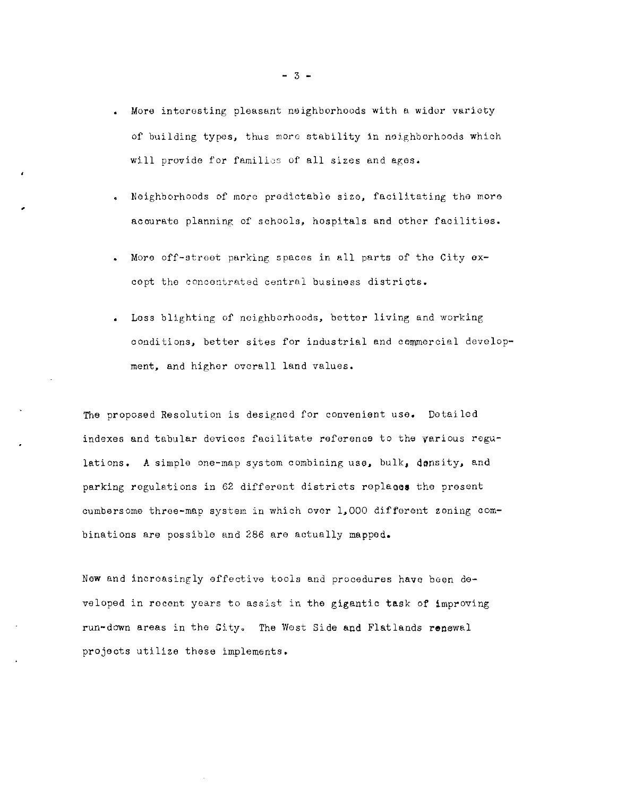- More interesting pleasant neighborhoods with a widor variety of building types, thus more stability in neighborhoods which will provide for families of all sizes and ages.
- Neighborhoods of mOre predictable size, facilitating the more acourate planning of schools, hospitals and other facilities.
- More off-street parking spaces in all parts of tho City oxcept the concontrated central business distriots.
- Less blighting of neighborhoods, better living and working oonditions, better sites for industrial and commercial development, and higher ovcrall land values.

The proposed Resolution is designed for convenient use. Detailed indexes and tabular devicos facilitate reference to the various regulations. A simple one-map system combining use, bulk, density, and parking regulations in 62 different districts replaces the present cumbersome throe-map system in which over 1,000 different zoning combinations are possible and 286 are actually mapped.

New and increasingly effective tools and procedures have been developed in recent years to assist in the gigantic task of improving run-down areas in the City. The West Side and Flatlands renewal projects utilize these implements.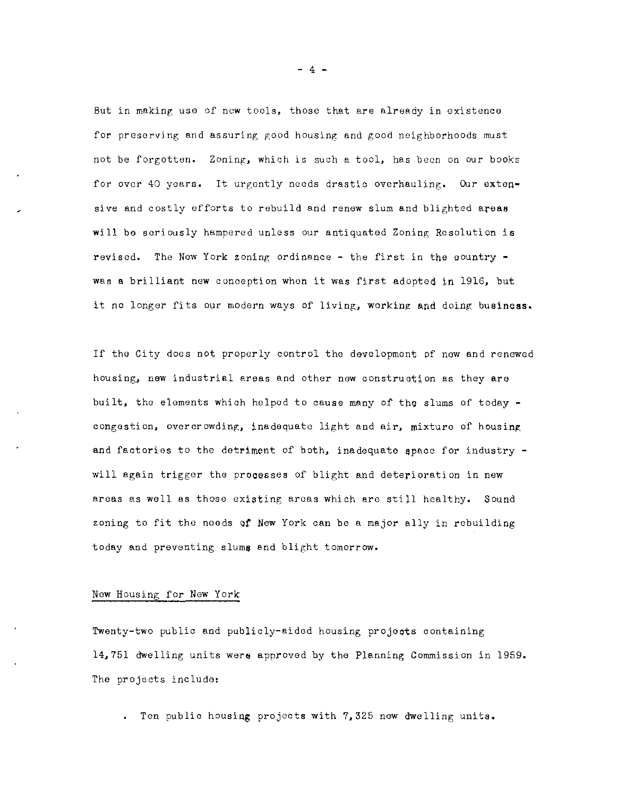But in making use of new tools, those that are already in existence for preserving and assuring good housing and good neighborhoods must not be forgotten. Zoning, which is such a tool, has been on our books for over 40 years. It urgently needs drastic overhauling. Our extensive and costly efforts to rebuild and renew slum and blighted areas will be seriously hampered unless our antiquated Zoning Resolution is revised. The New York zoning ordinance - the first in the country was a brilliant new conception when it was first adopted in 1916, but it no longer fits our modern ways of living, working and doing business.

If tho City does not properly control the development of new and renewed housing, new industrial areas and other new construction as they are built, the elements which helpod to cause many of the slums of today congestion, overcrowding, inadequate light and air, mixture of housing and factories to the detriment of both, inadequate space for industry  $$ will again trigger the processes of blight and deterioration in new areas as well as those existing areas which are still healthy. Sound zoning to fit the needs of New York can be a major ally in rebuilding today and preventing slums and blight tomorrow.

# New Housing for New York

Twenty-two public and publicly-aided housing projects containing 14,751 dwelling units wer6 approved by the Planning Commission in 1959. The projects include:

Ten publio housing projects with 7,325 new dwelling units.

 $- 4 -$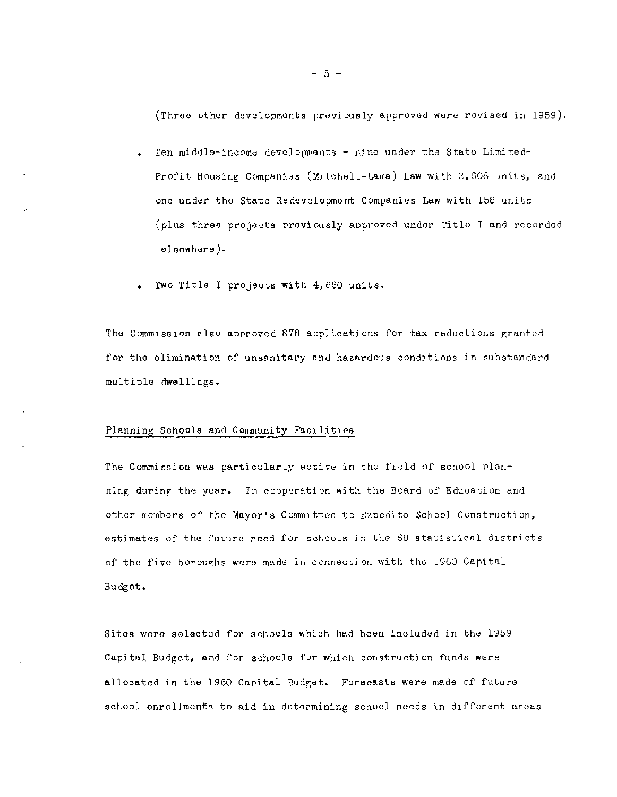(Three other dovelopments previously approved wore revised in 1959).

- Ten middle-income devolopments nine under the State Limited-Profit Housing Companies (Mitchell-Lama) Law with 2,608 units, and one undor the state Redevelopment Companies Law with 158 units (plus three projects previously approved under Title I and recorded elsewhere) •
- Two Title I projects with 4,660 units.

The Commission also approved 878 applications for tax reductions grantod for the elimination of unsanitary and hazardous conditions in substandard multiple dwellings.

### Planning Sohools and Community Faoilitios

The Commission was particularly active in the field of school planning during the yoar. In cooperation with the Board of Education and other members of the Mayor's Committoe to Expedite School Construction, estimates of the futuro need for schools in the 69 statistical districts of the five boroughs were made in connection with tho 1960 Capital Budget.

Sites were seleoted for schools which had been included in the 1959 Capital Budget, and for schools for which construction funds were allocated in the 1960 Capital Budget. Forecasts were made of future school enrollments to aid in determining school needs in different areas

 $- 5 -$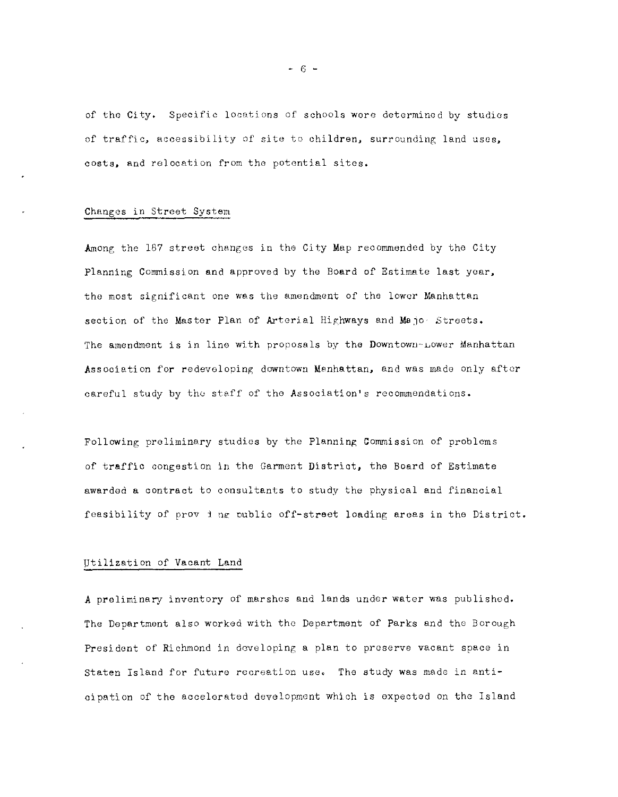of the City. Specific locations of schools wore determined by studios of traffic, accessibility of site to children, surrounding land uses, costs, and relocation from the potential sitcs.

# Changes in street System

Among the 167 street changes in the City Map recommended by the City Planning Commission and approved by the Board of Estimate last yoar, the most significant one was the amendment of the lower Manhattan section of the Master Plan of Arterial Highways and Majo<sup>,</sup> Streets. The amendment is in line with proposals by the Downtown-Lower Manhattan Association for redeveloping downtown Manhattan, and was made only after careful study by the staff of tho Association's recommendations.

Following preliminary studies by the Planning Commission of problems of traffic congestion in the Garment District, the Board of Estimate awarded a contract to consultants to study the physical and financial feasibility of prov i ng public off-street loading areas in the District.

# Utilization of Vacant Land

A preliminary inventory of marshes and lands under water was published. The Department also worked with the Department of Parks and the Borough President of Richmond in developing a plan to preserve vacant space in staten Island for future recreation use. The study was made in antioipation of the accelerated development which is expected on the Island

- 6 -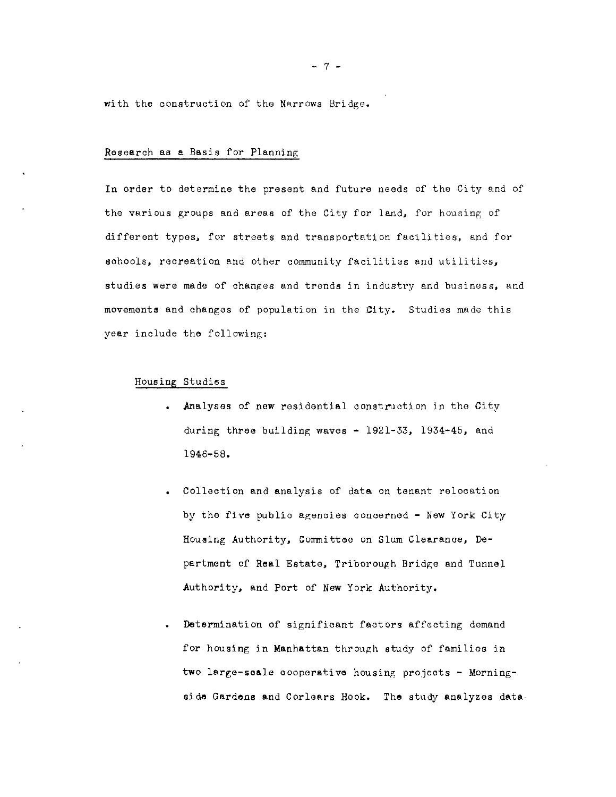with the construction of the Narrows Bridge.

### Research as a Basis for Planning

In order to determine the present and future needs of tho City and of tho various groups and aroas of the City for land, for housing of different types, for streets and transportation facilities, and for schools, recreation and other community facilities and utilities, studies were made of changes and trends in industry and business, and movements and changes of population in the City. Studies made this year include the following:

# Housing Studies

- Analyses of new residential construction in the City during three building waves  $-$  1921-33, 1934-45, and 1946-58.
- Collection and analysis of data on tenant relocation by the five publio agenoies concerned - New York City Housing Authority, Committee on Slum Clearance, Department of Real Estate, Triborough Bridge and Tunnel Authority, and Port of New York Authority.
- Determination of significant factors affecting demand for housing in Manhattan through study of families in two large-scale cooperative housing projects - Morningside Gardens and Corlears Hook. The study analyzes data-

- 7 -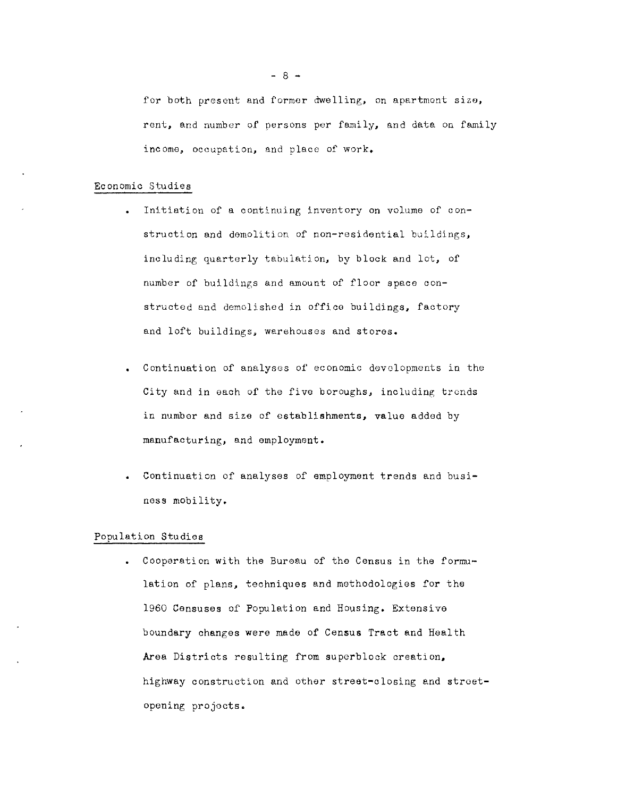for both present and former dwelling, on apartment size, rent, and number of persons per family, and data on family **income, occupation, and place of work.** 

## Economic Studies

- Initiation of a continuing inventory on volume of construction and demolition of non-residential buildings, including quarterly tabulation, by block and lot, of number of buildings and amount of floor space constructed and demolished in office buildings, factory and loft buildings, warehouses and stores.
- Continuation of analyses of economic developments in the City and in each of the five boroughs, including trends in number and size of establishments, value added by manufacturing, and employment.
- Continuation of analyses of employment trends and business mObility.

## Population Studies

Cooperation with the Bureau of the Census in the formulatien of plans, techniques and methodologies for the 1960 Censuses of Population and Housing. Extensive boundary changes were made of Census Tract and Health Area Districts resulting from superblock creation, highway construction and other street-olosing and stroetopening projocts.

 $- 8 -$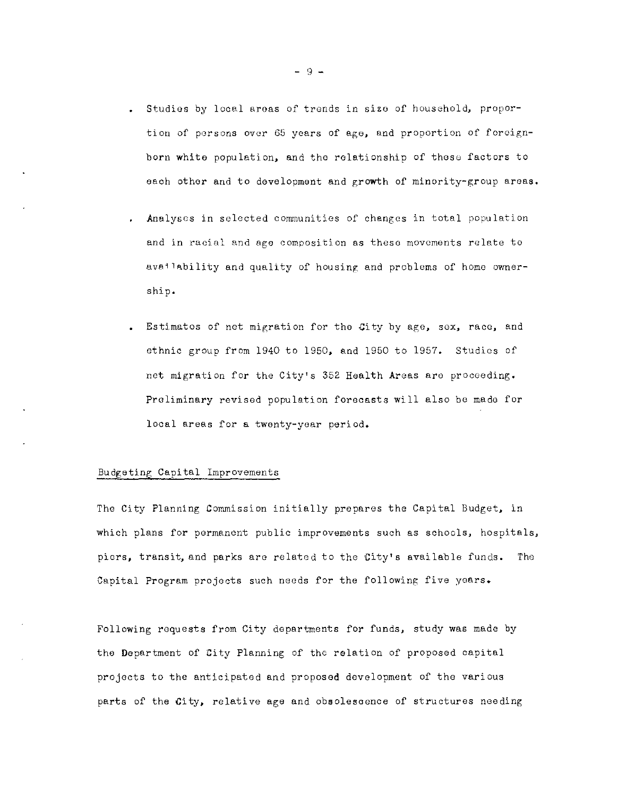- Studios by local areas of trends in sizo of household, proportion of persons over 65 years of age, and proportion of foreignborn white population, and tho relationship of thoso factors to eaoh other and to development and growth of minority-group areas.
- Analyses in selected communities of changes in total population **and in racial and age composition as these movoments relate to**  ava''ability and quality of housing and problems of home ownership.
- Estimatos of net migration for tho City by age, sox, raco, and ethnic group from 1940 to 1950, and 1950 to 1957. Studies of net migration for the City's 352 Health Areas aro proceeding. Preliminary revised population forecasts will also be mado for local areas for a twenty-year period.

## Budgeting Capital Improvements

The City Planning Commission initially prepares the Capital Budget, in which plans for permanent public improvements such as schools, hospitals, piors, transit, and parks are related to the City's available funds. The Capital Program projects such needs for the following five yaars.

Following roquests from City departments for funds, study was made by the Department of City Planning of the relation of proposed capital projects to the anticipated and proposed development of the various parts of the City, relative age and obsolescence of structures needing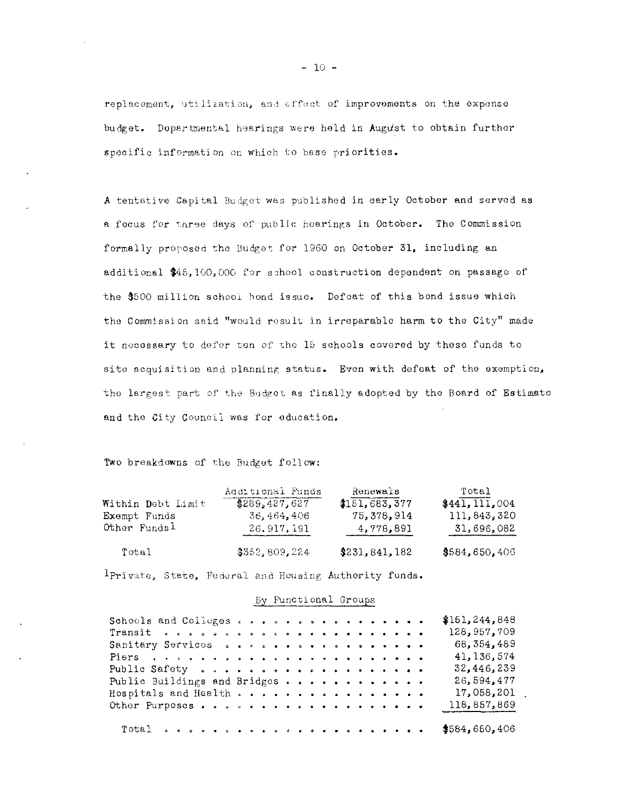replacement, utilization, and affect of improvements on the expense budget. Dopartmental hearings were held in Augu'st to obtain further specific information on which to base priorities.

A tentative Capital Budget was published in early Octobor and servod as a focus for three days of public hearings in October. The Commission formally proposed the Budget for 1960 on October 31, including an additional \$45,100,000 for sohool construction dependent on passago of the \$500 million school hond issue. Defeat of this bond issue which the Commission said "would result in irreparable harm to the City" made it necossary to defer ten of the 15 schools covered by these funds to site acquisition and planning status. Even with defeat of the exemption, the largest part of the Budget as finally adopted by the Board of Estimate and the City Council was for education.

Two breakdowns of the Budget follow:

| Within Debt Limit        | Additional Funds | Renewals        | Total           |
|--------------------------|------------------|-----------------|-----------------|
|                          | \$289.427.627    | 3151,683,377    | \$441, 111, 004 |
| Exempt Funds             | 36.464,406       | 75,378,914      | 111,843,320     |
| Other Funds <sup>1</sup> | 26.917.191       | 4,778,891       | 31,696,082      |
| Total                    | \$3552,809,224   | \$231, 841, 182 | \$584,650,406   |

 $1$ Private, State, Federal and Housing Authority funds.

## By Functi onal Groups

| Schools and Colleges                                                                                                                                                                                                           |  |  |  |  |  |  |  |  | \$151, 244, 848 |
|--------------------------------------------------------------------------------------------------------------------------------------------------------------------------------------------------------------------------------|--|--|--|--|--|--|--|--|-----------------|
|                                                                                                                                                                                                                                |  |  |  |  |  |  |  |  | 128,957,709     |
| Sanitary Services care correct conservation                                                                                                                                                                                    |  |  |  |  |  |  |  |  | 68, 354, 489    |
| Piers a second second second second second second second second second second second second second second second second second second second second second second second second second second second second second second seco |  |  |  |  |  |  |  |  | 41, 136, 574    |
|                                                                                                                                                                                                                                |  |  |  |  |  |  |  |  | 32,446,239      |
| Public Buildings and Bridges                                                                                                                                                                                                   |  |  |  |  |  |  |  |  | 26,594,477      |
| Hospitals and Health                                                                                                                                                                                                           |  |  |  |  |  |  |  |  | 17,058,201      |
|                                                                                                                                                                                                                                |  |  |  |  |  |  |  |  | 118,857,869     |
|                                                                                                                                                                                                                                |  |  |  |  |  |  |  |  |                 |

 $-10 -$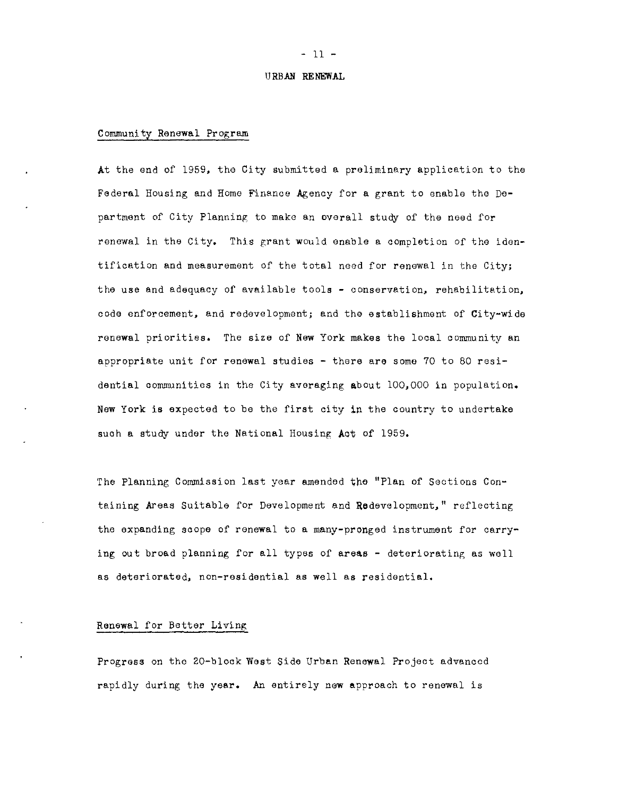#### URBAN **RENEWAL**

# Community Renew&l Program

At the end of 1959, the City submitted & preliminary application to the Federal Housing and Home Finanoe Agenoy for a grant to enable the Department of City Planning to make an overall study of the need for renewal in the City. This grant would enable a completion of the identification and measurement of the total need for renewal in the City; the use and adequaoy of available tools - oonservation, rehabilitation, oode enforcement, and redevelopment; and the establishment of City-wide renewal priorities. The size of New York makes the local oommunity an appropriate unit for renewal studies - there are some 70 to 80 residential communities in the City averaging about 100,000 in population. New York is expeoted to be the first oity in the country to undertake such a study under the National Housing Act of 1959.

The Planning Commission last year amended the "Plan of Sections Containing Areas Suitable for Development and Rodevelopment," reflecting the expanding soope of renewal to a many-pronged instrument for carrying out broad planning for all types of areas - deteriorating as well as deteriorated, non-residential as well as residential.

### Renewal for Better Living

Progress on the 20-block West Side Urban Renewal Project advanced rapidly during the year. An entirely new approach to renewal is

#### - 11 -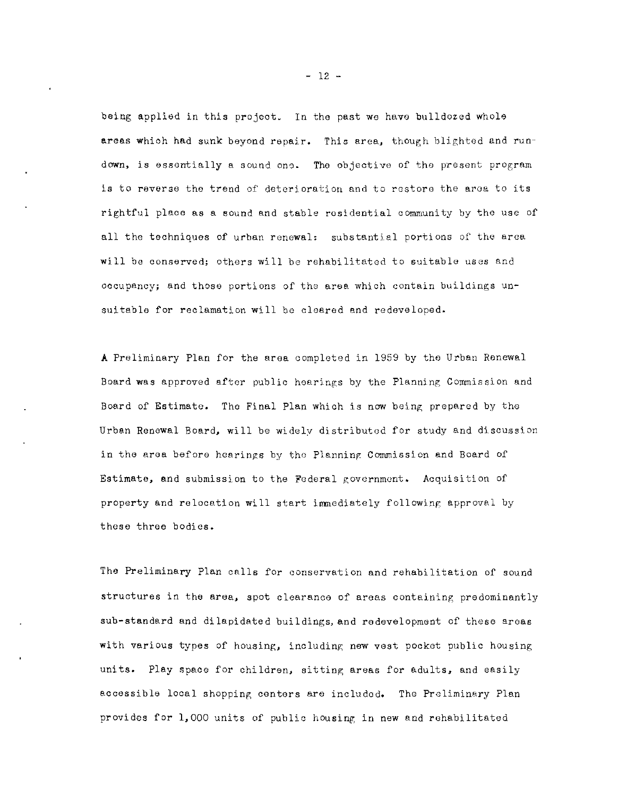being applied in this projeot. In the past we have bulldozed whole areas whioh had sunk beyond repair. This area, though blighted and rundown, is essontially a sound ono. The objective of the present program is to reverse the trend of deterioration and to restore the aroa to its rightful place as a sound and stable rosidential community by the use of all the techniques of urban renewal; substantial portions of tho area will be conserved; others will be rehabilitated to suitable uses and occupancy; and those portions of tho area which contain buildings unsuitable for reclamation will be cloared and redeveloped.

A Preliminary Plan for the area completod in 1959 by the Urban Renewal Board was approved after public hearings by the Planning Commission and Board of Estimate. The Final Plan which is now being prepared by the Urban Renewal Board, will be widely distributed for study and discussion in the area before hearings by the Planning Commission and Board of Estimate, and submission to the Federal government. Acquisition of property and relocation will start immediately following approval by these three bodies.

The Preliminary Plan calls for conservation and rehabilitation of sound structures in the area, spot clearance of areas containing predominantly sub-standard and dilapidated buildings, and redevelopment of these areas with various types of housing, including new vest pocket public housing units. Play space for children, sitting areas for adults, and easily accessible local shopping centers are included. The Preliminary Plan provides for 1,000 units of public housing in new and rehabilitated

 $- 12 -$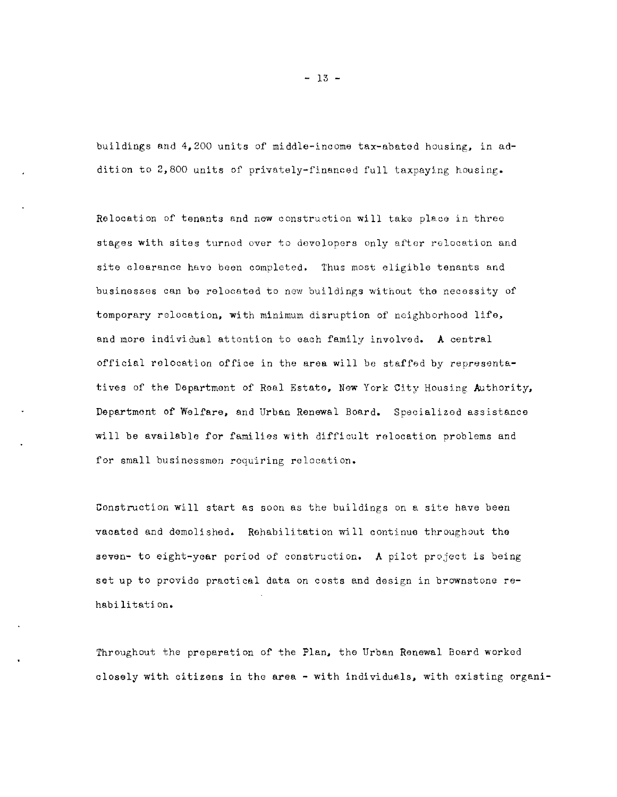buildings and 4,200 units of middle-income tax-abated housing, in addition to 2,800 units of privately-financed full taxpaying housing.

Relocation of tenants and new construction will tako place in three stages with sites turnod over to devolopors only after relocation and site clearance havo boon completed. Thus most eligible tenants and businesses can be relocated to now bui Idings without the necessity of temporary relocation, with minimum disruption of neighborhood life, and more individual attontion to each family involved. A central official relocation office in the area will be staffed by representatives of the Department of Real Estate, New York City Housing Authority, Department of Welfare, and Urban Renewal Board. Specializod assistance will be available for families with difficult relocation problems and for small businessmen requiring relocation.

Construction will start as soon as the buildings on a site have been vaoated and demolished. Rehabilitation will continue throughout the seven- to eight-year period of construction. A pilot project is being set up to provide practical data on costs and design in brownstone rehabi li tati On.

Throughout the preparation of the Plan, the Urban Renewal Board worked closely with oitizens in the area - with individuals, with existing organi-

 $- 13 -$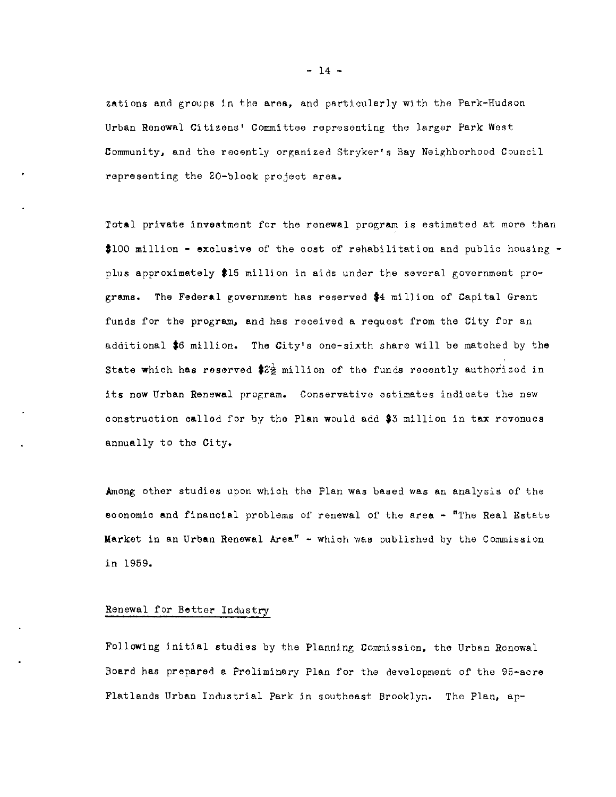zations and groups in the area, and particularly with the Park-Hudson Urban Renawal Citizens' Committee representing the larger Park West Community, and the recently organized Stryker's Bay Neighborhood Council representing the 20-block project area.

Total private investment for the renewal program is estimated at more than  $$100$  million - exclusive of the cost of rehabilitation and public housing plus approximately \$15 million in aids under the several government programs. The Federal government has reserved **\$4** million of Capital Grant funds for the program, and has received a requost from the City for an additional **\$6** million. The City's one-sixth share will be matched by the State which has reserved  $2\frac{1}{2}$  million of the funds recently authorized in its new Urban Renewal program. Conservative estimates indicate the new oonstruotion oalled for by the Plan would add **\$3** million in tax rovenues annually to the City.

Among other studies upon which the Plan was based was an analysis of the economic and financial problems of renewal of the area - "The Real Estate Market in an Urban Renewal Area" - whioh was published by the Commission in 1959.

# Renewal for Better Industry

Following initial studies by the Planning Commission, the Urban Renewal Board has prepared a Preliminary Plan for the development of the 95-aore Flatlands Urban Industrial Park in southeast Brooklyn. The Plan, ap-

 $- 14 -$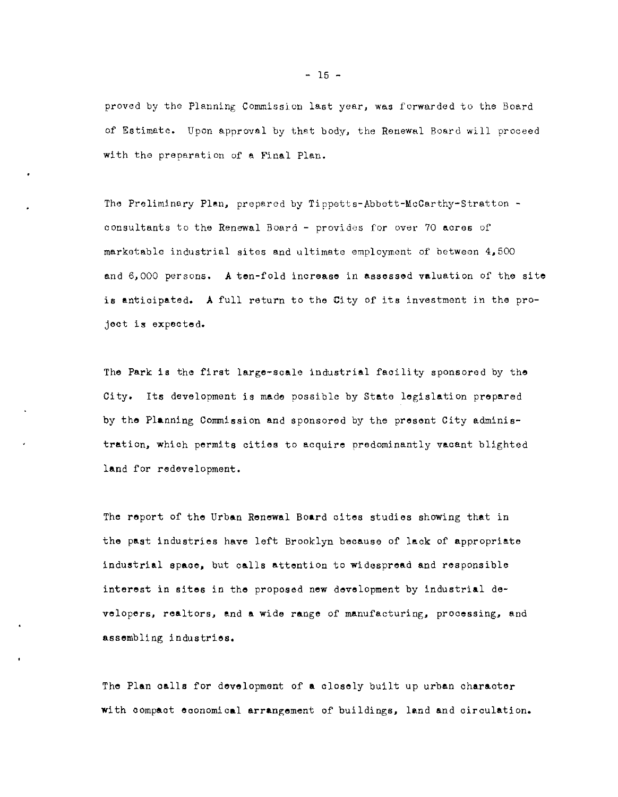proved by the Planning Commission last year, was forwarded to the Board of Estimate. Upon approval by that body, the Renewal Board will proceed with the preparation of a Final Plan.

The Preliminary Plan, prepared by Tippetts-Abbett-McCarthy-Stratton consultants to the Renewal Board - providos for over 70 acres of marketable industrial sites and ultimate employment of between 4,500 and 6,000 persons. A ten-fold increase in assossed valuation of the site is antioipated. A full return to the City of its investment in the project is expecte d.

The Park is the first large-scale industrial facility sponsored by the City. Its development is made possible by State legislation prepared by the Planning Commission and sponsored by the present City administration, whioh permits cities to acquire predominantly vacant blighted land for redevelopment.

The report of the Urban Renewal Board oites studies showing that in the past industries have left Brooklyn because of lack of appropriate industrial spaoe, but calls attention to widespread and responsible interest in sites in the proposed new development by industrial developers, realtors, end a wide range of manufacturing, processing, and assembling industries.

The Plan oalls for development of a olosely built up urban oharaoter with oompaot eoonomical arrangement of buildings, land and circulation.

 $- 15 -$